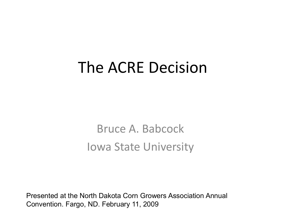#### The ACRE Decision

Bruce A. Babcock Iowa State University

Presented at the North Dakota Corn Growers Association Annual Convention. Fargo, ND. February 11, 2009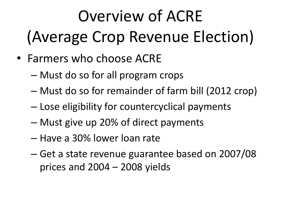# Overview of ACRE (Average Crop Revenue Election)

- Farmers who choose ACRE
	- Must do so for all program crops
	- Must do so for remainder of farm bill (2012 crop)
	- Lose eligibility for countercyclical payments
	- Must give up 20% of direct payments
	- Have a 30% lower loan rate
	- Get a state revenue guarantee based on 2007/08 prices and 2004 – 2008 yields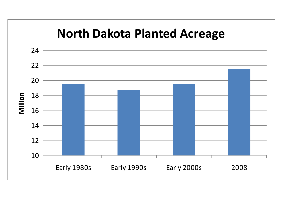#### **North Dakota Planted Acreage**

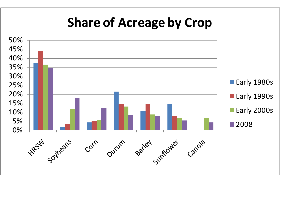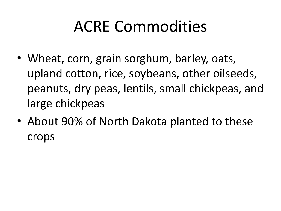### ACRE Commodities

- Wheat, corn, grain sorghum, barley, oats, upland cotton, rice, soybeans, other oilseeds, peanuts, dry peas, lentils, small chickpeas, and large chickpeas
- About 90% of North Dakota planted to these crops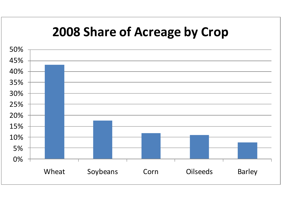#### **2008 Share of Acreage by Crop**

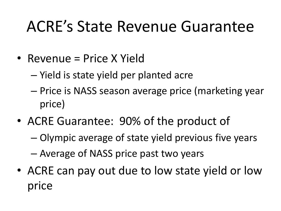#### ACRE's State Revenue Guarantee

- Revenue = Price X Yield
	- Yield is state yield per planted acre
	- Price is NASS season average price (marketing year price)
- ACRE Guarantee: 90% of the product of
	- Olympic average of state yield previous five years
	- Average of NASS price past two years
- ACRE can pay out due to low state yield or low price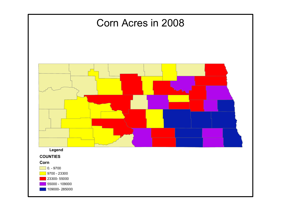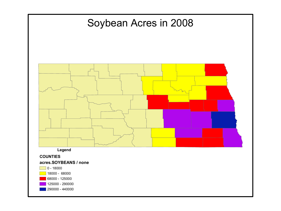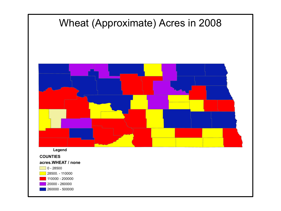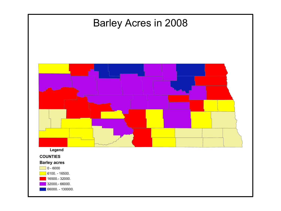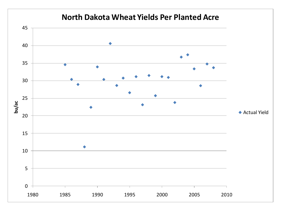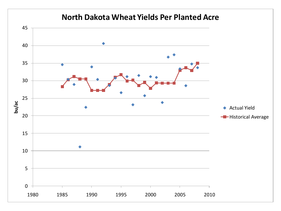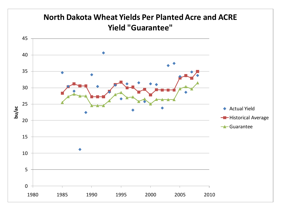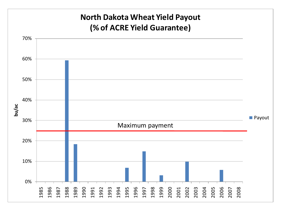![](_page_14_Figure_0.jpeg)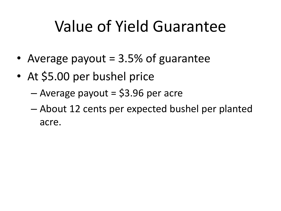#### Value of Yield Guarantee

- Average payout  $= 3.5\%$  of guarantee
- At \$5.00 per bushel price
	- $-$  Average payout = \$3.96 per acre
	- About 12 cents per expected bushel per planted acre.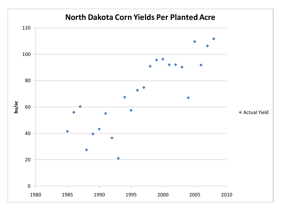![](_page_16_Figure_0.jpeg)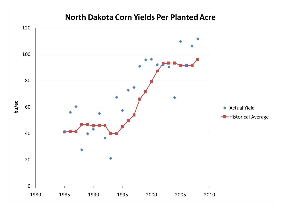#### **North Dakota Corn Yields Per Planted Acre**

![](_page_17_Figure_1.jpeg)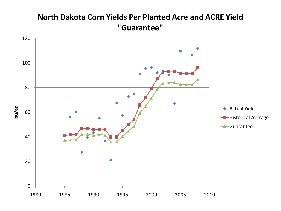![](_page_18_Figure_0.jpeg)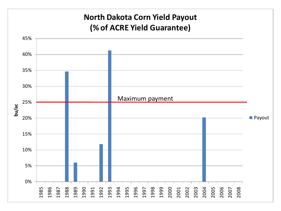#### **North Dakota Corn Yield Payout (% of ACRE Yield Guarantee)**

![](_page_19_Figure_1.jpeg)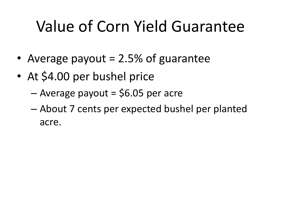### Value of Corn Yield Guarantee

- Average payout = 2.5% of guarantee
- At \$4.00 per bushel price
	- $-$  Average payout = \$6.05 per acre
	- About 7 cents per expected bushel per planted acre.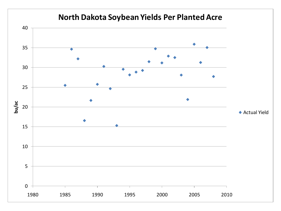![](_page_21_Figure_0.jpeg)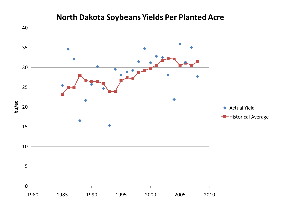![](_page_22_Figure_0.jpeg)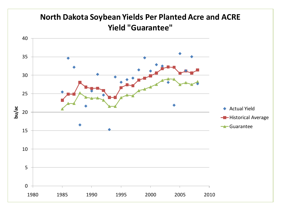![](_page_23_Figure_0.jpeg)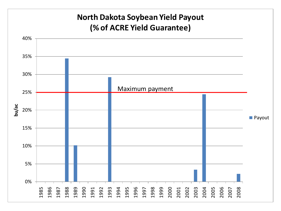#### **North Dakota Soybean Yield Payout (% of ACRE Yield Guarantee)**

![](_page_24_Figure_1.jpeg)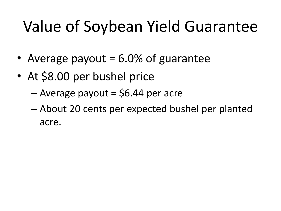### Value of Soybean Yield Guarantee

- Average payout  $= 6.0\%$  of guarantee
- At \$8.00 per bushel price
	- $-$  Average payout = \$6.44 per acre
	- About 20 cents per expected bushel per planted acre.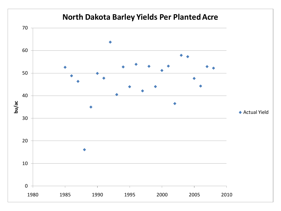#### **North Dakota Barley Yields Per Planted Acre**

![](_page_26_Figure_1.jpeg)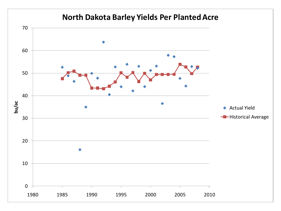#### **North Dakota Barley Yields Per Planted Acre**

![](_page_27_Figure_1.jpeg)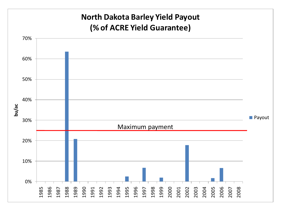![](_page_28_Figure_0.jpeg)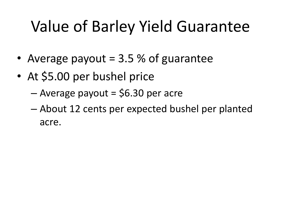### Value of Barley Yield Guarantee

- Average payout = 3.5 % of guarantee
- At \$5.00 per bushel price
	- $-$  Average payout = \$6.30 per acre
	- About 12 cents per expected bushel per planted acre.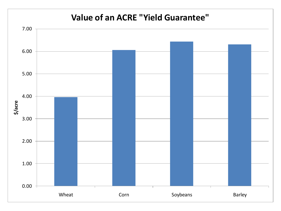#### **Value of an ACRE "Yield Guarantee"**

![](_page_30_Figure_1.jpeg)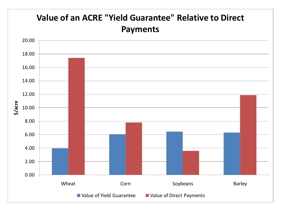![](_page_31_Figure_0.jpeg)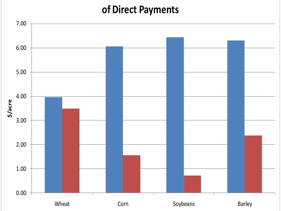#### **of Direct Payments**

![](_page_32_Figure_1.jpeg)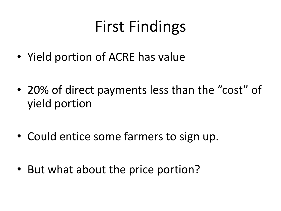### First Findings

- Yield portion of ACRE has value
- 20% of direct payments less than the "cost" of yield portion
- Could entice some farmers to sign up.
- But what about the price portion?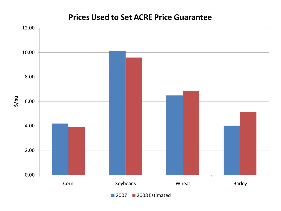![](_page_34_Figure_0.jpeg)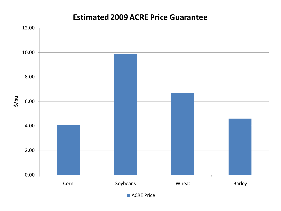![](_page_35_Figure_0.jpeg)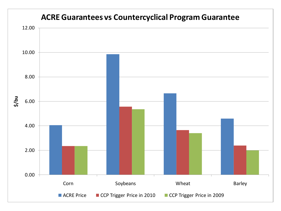![](_page_36_Figure_0.jpeg)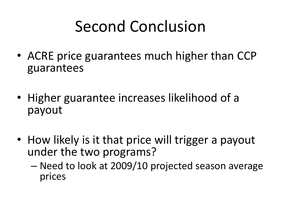### Second Conclusion

- ACRE price guarantees much higher than CCP guarantees
- Higher guarantee increases likelihood of a payout
- How likely is it that price will trigger a payout under the two programs?
	- Need to look at 2009/10 projected season average prices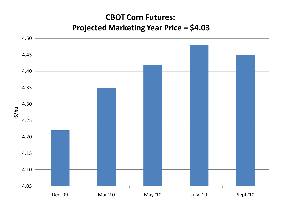![](_page_38_Figure_0.jpeg)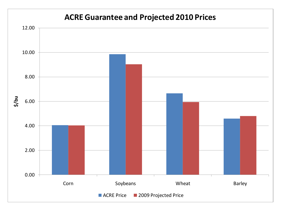![](_page_39_Figure_0.jpeg)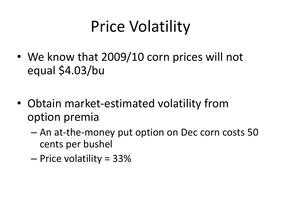## Price Volatility

- We know that 2009/10 corn prices will not equal \$4.03/bu
- Obtain market-estimated volatility from option premia
	- An at-the-money put option on Dec corn costs 50 cents per bushel
	- Price volatility = 33%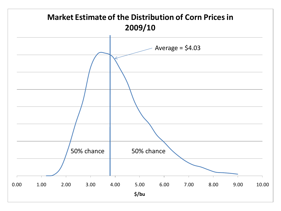![](_page_41_Figure_0.jpeg)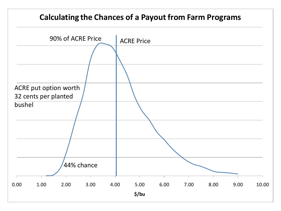#### **Calculating the Chances of a Payout from Farm Programs**

![](_page_42_Figure_1.jpeg)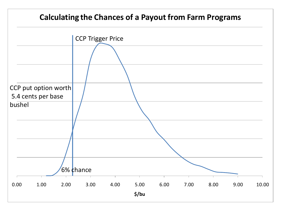# 0.00 1.00 2.00 3.00 4.00 5.00 6.00 7.00 8.00 9.00 10.00 **\$/bu Calculating the Chances of a Payout from Farm Programs** CCP Trigger Price 6% chance CCP put option worth 5.4 cents per base bushel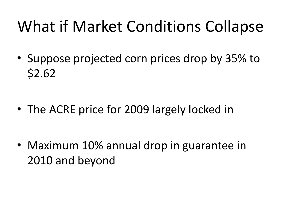### What if Market Conditions Collapse

• Suppose projected corn prices drop by 35% to \$2.62

• The ACRE price for 2009 largely locked in

• Maximum 10% annual drop in guarantee in 2010 and beyond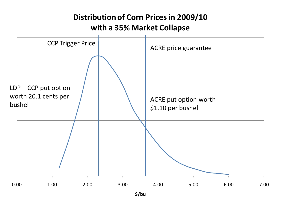![](_page_45_Figure_0.jpeg)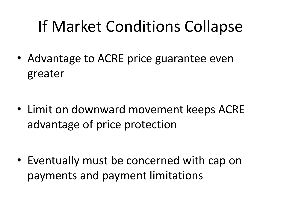### If Market Conditions Collapse

• Advantage to ACRE price guarantee even greater

• Limit on downward movement keeps ACRE advantage of price protection

• Eventually must be concerned with cap on payments and payment limitations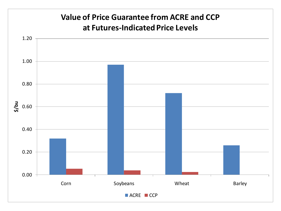![](_page_47_Figure_0.jpeg)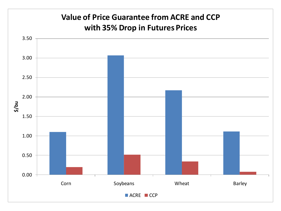![](_page_48_Figure_0.jpeg)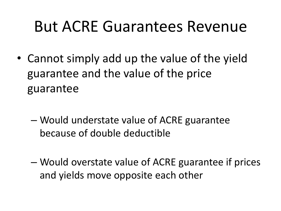#### But ACRE Guarantees Revenue

- Cannot simply add up the value of the yield guarantee and the value of the price guarantee
	- Would understate value of ACRE guarantee because of double deductible
	- Would overstate value of ACRE guarantee if prices and yields move opposite each other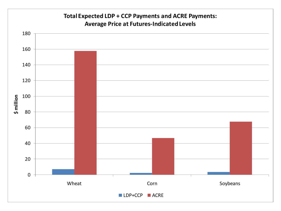![](_page_50_Figure_0.jpeg)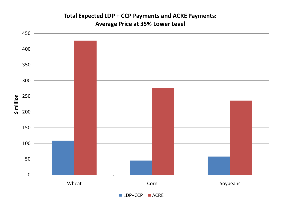![](_page_51_Figure_0.jpeg)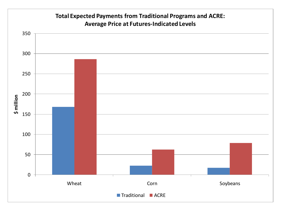![](_page_52_Figure_0.jpeg)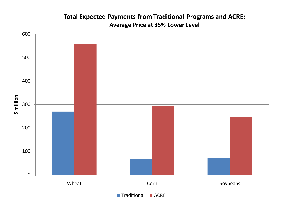![](_page_53_Figure_0.jpeg)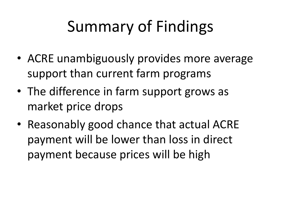# Summary of Findings

- ACRE unambiguously provides more average support than current farm programs
- The difference in farm support grows as market price drops
- Reasonably good chance that actual ACRE payment will be lower than loss in direct payment because prices will be high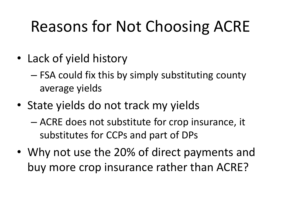## Reasons for Not Choosing ACRE

- Lack of yield history
	- FSA could fix this by simply substituting county average yields
- State yields do not track my yields
	- ACRE does not substitute for crop insurance, it substitutes for CCPs and part of DPs
- Why not use the 20% of direct payments and buy more crop insurance rather than ACRE?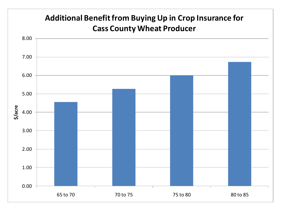![](_page_56_Figure_0.jpeg)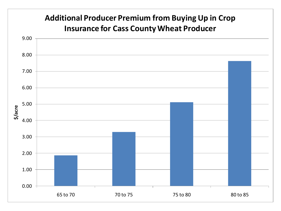![](_page_57_Figure_0.jpeg)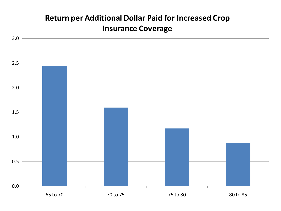![](_page_58_Figure_0.jpeg)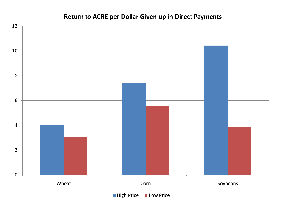![](_page_59_Figure_0.jpeg)